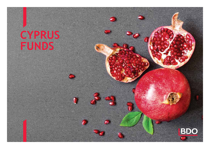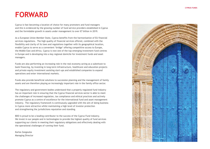## **FORWARD**

Cyprus is fast becoming a location of choice for many promoters and fund managers and this is evidenced by the growing number of fund service providers established in Cyprus and the formidable growth in assets under management to over €7 billion in 2019.

As a European Union Member State, Cyprus benefits from the harmonisation of EU financial services regulations. The high quality of financial services offered, combined with the flexibility and clarity of its laws and regulations together with its geographical location, enable Cyprus to serve as a convenient 'bridge' offering competitive access to Europe, the Middle East and Africa. Cyprus is now one of the top emerging investment fund centres in Europe and is developing into a key regional domicile for investment funds and asset managers.

Funds are also performing an increasing role in the real economy acting as a substitute to bank financing, by investing in long-term infrastructure, healthcare and education projects and private equity investment assisting start-ups and established companies to expand operations and enter international markets.

Funds also provide beneficial solutions to succession planning and the management of family assets and are therefore playing an increasingly important role in the family office sector.

The regulatory and government bodies understand that a properly regulated fund industry has an important role in ensuring that the Cyprus financial services sector is able to meet the challenges of increased regulation, tax compliance and ethical practices and actively promote Cyprus as a centre of excellence for the international fund and asset management industry. The regulatory framework is continuously upgraded with the aim of doing business in Cyprus more attractive whilst maintaining a high level of investor protection and strengthening the jurisdictions reputation and standing.

BDO is proud to be a leading contributor to the success of the Cyprus Fund industry. We invest in our people and in technologies to provide the highest quality of fund services supporting our clients in meeting their regulatory obligations and effectively dealing with the operational challenges of running their fund.

Karlos Zangoulos Managing Director

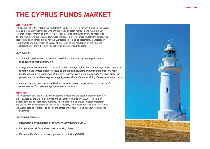# **THE CYPRUS FUNDS MARKET**

## **Legal framework**

The enactment of the Alternative Investment Funds (AIF) law in July 2014 aligned the Cyprus legal and regulatory framework with EU directives on asset management, with the aim to enhance transparency and investor protection. In its continuing efforts to modernise its fund framework, subsequent laws were introduced offering more investment structuring possibilities and upgraded rules for the authorisation, on-going operations, transparency requirements and supervision of Cyprus AIFs, as well as the regulation on the role and responsibilities of their directors, depositaries and external managers.

## *During 2018:*

- *The Registered AIF was introduced providing a fast and effective fund launch that does not require licensing.*
- *Significant enhancements to the Limited Partnership regime were made to provide certainty regarding the limited liability status of the limited partners and providing greater scope for the upcoming introduction of a limited partner with legal personality that will allow the general partner to have separate legal personality while maintaining the transparency status.*
- *Among other amendments, an 8% flat rate taxation on performance-based variable remuneration for certain employees was introduced.*

## **Regulation**

The investment services market, the collective investment and asset management sector are regulated by the Cyprus Securities and Exchange Commission (CySEC), which is an independent public supervisory authority whose mission is to ensure investor protection and the healthy development of the financial industry under its supervision and to establish the Cyprus securities market as one of the safest, most reliable and attractive destinations for investment.

## *CySEC is a member of:*

- *International Organization of Securities Commissions (IOSCO)*
- *European Securities and Markets Authority (ESMA)*
- *European Fund and Asset Management Association (EFAMA)*

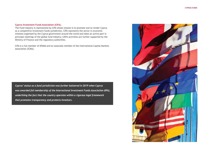## **Cyprus Investment Funds Association (CIFA).**

The Fund industry is represented by CIFA whose mission is to promote and to render Cyprus as a competitive investment funds jurisdiction. CIFA represents the sector in economic missions organised by the Cyprus government around the world and takes an active part in principal meetings of the global fund industry. CIFA's activities are further supported by the Ministry of Finance and the regulatory authorities.

CIFA is a full member of EFAMA and an associate member of the International Capital Markets Association (ICMA).

*Cyprus' status as a fund jurisdiction was further bolstered in 2019 when Cyprus was awarded full membership of the International Investment Funds Association (IIFA), underlining the fact that the country operates within a rigorous legal framework that promotes transparency and protects investors.*

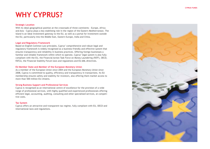## **WHY CYPRUS?**

### **Strategic Location**

With its ideal geographical position at the crossroads of three continents - Europe, Africa and Asia - Cyprus plays a key stabilising role in the region of the Eastern Mediterranean. The island is an ideal investment gateway to the EU, as well as a portal for investment outside the EU, particularly into the Middle East, Eastern Europe, India and China.

## **Legal and Regulatory Framework**

Based on English Common Law principles, Cyprus' comprehensive and robust legal and regulatory framework is widely recognised as a business-friendly and effective system that ensures transparency and reliability in business practices. Offering foreign businesses a familiar and reliable framework within which to operate, Cyprus' legal system is also fully compliant with the EU, the Financial Action Task Force on Money Laundering (FATF), OECD, FATCA, the Financial Stability Forum laws and regulations and EU AML directives.

## **EU Member State and Member of the European Monetary Union**

As a member of the European Union since 2004 and the European Monetary Union since 2008, Cyprus is committed to quality, efficiency and transparency in transactions. Its EU membership ensures safety and stability for investors, also offering them market access to more than 500 million EU citizens.

## **Strong Business Support and Professional Services**

Cyprus is recognised as an international centre of excellence for the provision of a wide range of professional services, with highly qualified and experienced professionals offering efficient legal, accounting, auditing, consulting and other specialised services, at competi tive costs.

## **Tax System**

Cyprus offers an attractive and transparent tax regime, fully compliant with EU, OECD and international laws and regulations.

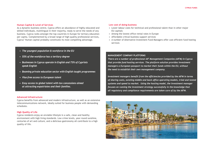## **Human Capital & Level of Services**

As a dynamic business centre, Cyprus offers an abundance of highly educated and skilled individuals, multilingual in their majority, ready to serve the needs of any business. Cyprus ranks amongst the top countries in Europe for tertiary education per capita. Complemented by a broad range of high-quality professional services, Cyprus' Human capital probably constitutes its most compelling advantage.

- *The youngest population & workforce in the EU*
- *55% of the workforce has a tertiary degree*
- *Businesses in Cyprus operate in English and 73% of Cypriots speak English*
- *Booming private education sector with English taught programmes*
- *Visa-free access to European talent*
- *Easy access to global talent with tax concessions aimed at attracting expatriates and their families.*

#### **Advanced Infrastructure**

Cyprus benefits from advanced and modern infrastructure, as well as an extensive telecommunications network, ideally suited for business people with demanding schedules.

## **High Quality of Life**

Cyprus residents enjoy an enviable lifestyle in a safe, clean and healthy environment with high living standards. Low crime levels, year-round sunshine, centuries of art and culture, and a delicious gastronomy all contribute to a high quality of life.

#### **Low cost of doing business**

- Lower labour costs for technical and professional talent than in other major EU capitals
- Among the lowest office rental rates in Europe
- Affordable critical business support services
- A number of Alternative Investment Fund Managers offer cost efficient fund hosting services

### **MANAGEMENT COMPANY PLATFORMS**

*There are a number of professional AIF Management Companies (AIFM) in Cyprus that provide fund hosting services. The platform solution provides investment managers a European passport to market their funds within the EU, without the need to establish their own management company.* 

*Investment managers benefit from the efficiencies provided by the AIFM in terms of sharing costs, existing middle and back office operating models, tried and tested systems and speed to market. Using the hosting model, the investment manager focuses on running the investment strategy successfully in the knowledge that all regulatory and compliance requirements are taken care of by the AIFM.*

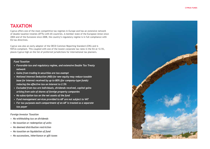## **TAXATION**

Cyprus offers one of the most competitive tax regimes in Europe and has an extensive network of double taxation treaties (DTTs) with 65 countries. A member state of the European Union since 2004 and of the Eurozone since 2008, the country's regulatory regime is in full compliance with EU tax directives.

Cyprus was also an early adopter of the OECD Common Reporting Standard (CRS) and is FATCA-compliant. This coupled with one of the lowest corporate tax rates in the EU at 12.5%, places Cyprus high on the list of preferred jurisdictions for international tax planners.

## *Fund Taxation*

- *Favorable tax and regulatory regime, and extensive Double Tax Treaty network*
- *Gains from trading in securities are tax exempt*
- *Notional Interest Deduction (NID) for new equity may reduce taxable base for interest received by up to 80% (for company-type funds) reducing the effective tax on interest to 2.5%*
- *Excluded from tax are individuals, dividends received, capital gains arising from sale of shares of foreign property companies*
- *No subscription tax on the net assets of the fund*
- *Fund management services provided to AIF are not subject to VAT*
- *For tax purposes each compartment of an AIF is treated as a separate tax payer*

*Foreign Investor Taxation*

- *No withholding tax on dividends*
- *No taxation or redemption of units*
- *No deemed distribution restriction*
- *No taxation on liquidation of fund*
- *No successions, inheritance or gift taxes*

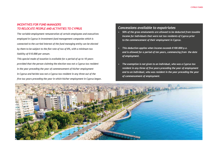## *INCENTIVES FOR FUND MANAGERS TO RELOCATE PEOPLE AND ACTIVITIES TO CYPRUS*

*The variable employment remuneration of certain employees and executives employed in Cyprus in investment fund management companies which is connected to the carried interest of the fund managing entity can be elected by them to be subject to the flat rate of tax of 8%, with a minimum tax liability of €10.000 per annum.*

*This special mode of taxation is available for a period of up to 10 years provided that the person claiming the election was not a Cyprus tax resident in the year preceding the year of commencement of his/her employment in Cyprus and he/she was not a Cyprus tax resident in any three out of the five tax years preceding the year in which his/her employment in Cyprus began.*

## *Concessions available to expatriates*

- *50% of the gross emoluments are allowed to be deducted from taxable income for individuals that were not tax residents of Cyprus prior to the commencement of their employment in Cyprus.*
- *This deduction applies when income exceeds €100.000 p.a. and is allowed for a period of ten years, commencing from the date of employment.*
- *The exemption is not given to an individual, who was a Cyprus tax resident in any three of five years preceding the year of employment and to an individual, who was resident in the year preceding the year of commencement of employment.*

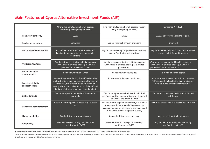## **Main Features of Cyprus Alternative Investment Funds (AIF)**

|                                              | AIFs with unlimited number of persons<br>(externally managed by an AIFM)                                                                                                                                                                                  | AIFs with limited number of persons (exter-<br>nally managed by an AIFM)                                                                                                                     | <b>Registered AIF (RAIF)</b>                                                                                                              |
|----------------------------------------------|-----------------------------------------------------------------------------------------------------------------------------------------------------------------------------------------------------------------------------------------------------------|----------------------------------------------------------------------------------------------------------------------------------------------------------------------------------------------|-------------------------------------------------------------------------------------------------------------------------------------------|
| <b>Regulatory authority</b>                  | <b>CySEC</b>                                                                                                                                                                                                                                              | CySEC                                                                                                                                                                                        | CySEC, however no licensing required                                                                                                      |
| <b>Number of Investors</b>                   | Unlimited                                                                                                                                                                                                                                                 | Max 50 with look through provisions                                                                                                                                                          | Unlimited                                                                                                                                 |
| Marketing and distribution                   | May be marketed to all types of investors.<br>Possible to include retail investors, under<br>conditions.                                                                                                                                                  | May be marketed only to 'professional investors'<br>and/or 'well-informed investors'                                                                                                         | May be marketed only to 'professional investors'<br>and/or 'well-informed investors'                                                      |
| <b>Available structures</b>                  | May be set up as a limited liability company<br>(with variable or fixed capital), a limited<br>partnership* or a common fund                                                                                                                              | May be set up as a limited liability company<br>(with variable or fixed capital) or a limited<br>partnership*.                                                                               | May be set up as a limited liability company<br>(with variable or fixed capital), a limited<br>partnership* or a common fund              |
| Minimum capital<br>requirements              | No minimum initial capital                                                                                                                                                                                                                                | No minimum initial capital                                                                                                                                                                   | No minimum initial capital                                                                                                                |
| <b>Investment limits</b><br>and restrictions | Various investment limits, diversification rules<br>and restrictions apply depending on the type of<br>investors (professional & well informed or<br>retail), the strategy classification of the AIF and<br>the type of structure (open or closed ended). | No investment limits or restrictions.                                                                                                                                                        | No investment limits or limitations. However,<br>RAIFs cannot be classified as loan originating,<br>fund-of- funds or money market funds. |
| Umbrella funds                               | Can be set up as an umbrella with unlimited<br>sub-funds.                                                                                                                                                                                                 | Can be set up as an umbrella with unlimited<br>sub-funds but the number of investors is limited<br>to 50 over the entire AIF LNP                                                             | Can be set up as an umbrella with unlimited<br>sub-funds.                                                                                 |
| Depositary requirements**                    | Must in all cases appoint a depository/ custodi-<br>an.                                                                                                                                                                                                   | Not required to appoint a depository/ custodian<br>if its assets do not exceed €5,000,000, the<br>maximum number of investors is less than 5 and<br>if its assets are not subject to custody | Must in all cases appoint a depository/custodian                                                                                          |
| Listing possibility                          | May be listed on stock exchanges                                                                                                                                                                                                                          | Cannot be listed on an exchange                                                                                                                                                              | May be listed on stock exchanges                                                                                                          |
| Passporting                                  | May be marketed throughout the EU by<br>notification to CySEC                                                                                                                                                                                             | May be marketed throughout the EU by<br>notification to CySEC                                                                                                                                | May be marketed throughout the EU by<br>notification to CySEC                                                                             |

\*Proposed amendments to the current Partnership Law will allow the General Partner to elect for legal personality of the Limited Partnership upon its establishment

\*\*must be a credit institution, MiFID investment firm or other entity regulated and supervised as a Depositary, or in case of assets which are not financial instruments within the meaning of MiFID, another entity which car its professional or business activities. Must be located in Cyprus.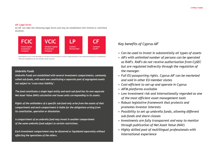## **AIF Legal forms**

An AIF can take the following legal forms and may be established with limited or unlimited duration.



\*Ammendments to the current Partneship Law will allow the General Partner to elect for legal personality of the Limited Partnership upon its establishment \*\*Only when established as AIF with unlimited number of persons

## *Umbrella Funds*

*Umbrella Funds are established with several investment compartments, commonly called sub-funds, with each one constituting a separate pool of segregated assets not subject to 'cross-class liability'.* 

*The fund constitutes a single legal entity and each sub-fund has its own separate Net Asset Value (NAV) calculation and issues units corresponding to its assets.*

*Rights of the unitholders of a specific sub-fund only arise from the assets of that compartment and each compartment is liable for the obligations arising from its constitution, operation or dissolution.* 

*A compartment of an umbrella fund may invest in another compartment of the same umbrella fund subject to certain restrictions.* 

*Each investment compartment may be dissolved or liquidated separately without affecting the operations of the others.*

## *Key benefits of Cyprus AIF*

- *Can be used to invest in substantially all types of assets*
- *AIFs with unlimited number of persons can be operated as RAIFs. RAIFs do not receive authorisation from CySEC but are regulated indirectly through the regulation of the manager.*
- *Full EU passporting rights. Cyprus AIF can be marketed and sold in other EU member states*
- *Cost-efficient to set-up and operate in Cyprus*
- *AIFM platforms available*
- *Low investment risk and internationally regarded as one of the most efficient asset management tools*
- *Robust legislative framework that protects and promotes investor interests*
- *Possibility to set up umbrella funds, allowing different sub-funds and share classes*
- *Investments are fully transparent and easy to monitor through publication of Net Asset Value (NAV)*
- *Highly skilled pool of multilingual professionals with international experience*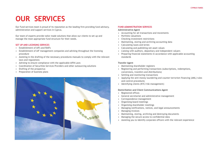# **OUR SERVICES**

Our Fund services team is proud of its reputation as the leading firm providing fund advisory, administration and support services in Cyprus.

Our team of experts provide tailor made solutions that allow our clients to set up and manage the most appropriate fund structure for their needs.

## **SET UP AND LICENSING SERVICES**

- Establishment of AIFs and RAIFs
- Establishment of AIF management companies and advising throughout the licensing procedure
- Assisting in the drafting of the necessary procedures manuals to comply with the relevant laws and regulations
- Advising to ensure compliance with the applicable AIFM Laws
- Coordination of Securities Services Providers and other outsourcing solutions
- Drafting of the prospectus
- Preparation of business plans



### **FUND ADMINISTRATION SERVICES**

### **Administrative Agent**

- Accounting for all transactions and movements
- Portfolio valuations
- Checking investment restrictions
- Maintaining, storing and archiving accounting data
- Calculating taxes and levies
- Calculating and publishing net asset values
- Liaising with auditors, depositary and independent valuers
- Preparing financial statements in accordance with applicable accounting standards

## **Transfer Agent**

- Maintaining shareholder registers
- Registering and performing transactions (subscriptions, redemptions, conversions, transfers and distributions)
- Settling and monitoring transactions
- Applying the anti-money laundering and counter-terrorism financing (AML) rules and control procedures
- Identifying clients (KYC/risk management)

## **Domiciliation and Client Communications Agent**

- Registered offices
- General secretariat and administrative management
- Correspondence management
- Organising board meetings
- Organising shareholder meetings
- Managing notifications, notices, and legal announcements
- Managing invoices
- Maintaining, storing, archiving and destroying documents
- Managing the secure access to confidential data
- Assisting you to identify corporate officers with the relevant experience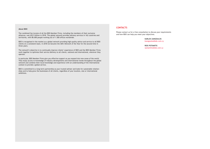#### **About BDO**

The combined fee income of all the BDO Member Firms, including the members of their exclusive alliances, was US\$ 9 billion in 2018. The global network provides advisory services in 162 countries and territories, with 80.000 people working out of 1.500 offices worldwide.

BDO is recognised in the market as a global network providing high quality advice and service to all BDO clients on a consistent basis. In 2018 we became the IAB's Network of the Year for the second time in three years.

The network's objective is to continually improve clients' experience of BDO and the BDO Member Firms work together to optimise their service delivery to all clients, national and international, wherever they operate.

In particular, BDO Member Firms give you effective support as you expand into new areas of the world. They enjoy access to knowledge of industry developments and international trends throughout the global network and combine their local knowledge and experience with an understanding of the international context to provide a global service.

BDO is committed to a long-term partnership as your trusted adviser and looks for sustainable relationships and to help grow the businesses of all clients, regardless of your location, size or international ambitions.

## **CONTACTS**

Please contact us for a free consultation to discuss your requirements and how BDO can help you meet your objectives.

#### **KARLOS ZANGOULOS**

kzangoulos@bdo.com.cy

#### **ROIS POTAMITIS** rpotamitis@bdo.com.cy